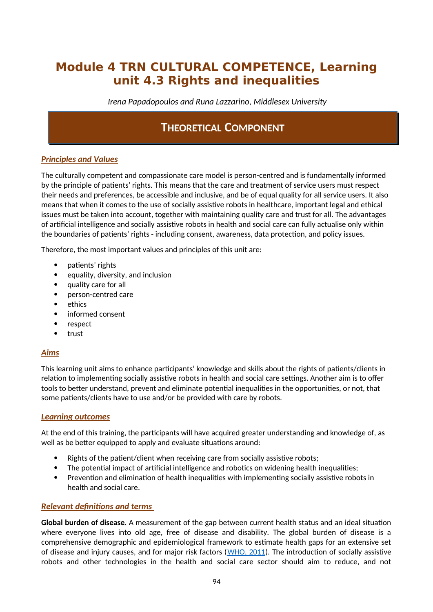# **Module 4 TRN CULTURAL COMPETENCE, Learning unit 4.3 Rights and inequalities**

*Irena Papadopoulos and Runa Lazzarino, Middlesex University*

# **THEORETICAL COMPONENT**

# *Principles and Values*

The culturally competent and compassionate care model is person-centred and is fundamentally informed by the principle of patients' rights. This means that the care and treatment of service users must respect their needs and preferences, be accessible and inclusive, and be of equal quality for all service users. It also means that when it comes to the use of socially assistive robots in healthcare, important legal and ethical issues must be taken into account, together with maintaining quality care and trust for all. The advantages of artificial intelligence and socially assistive robots in health and social care can fully actualise only within the boundaries of patients' rights - including consent, awareness, data protection, and policy issues.

Therefore, the most important values and principles of this unit are:

- patients' rights
- equality, diversity, and inclusion
- quality care for all
- person-centred care
- ethics
- informed consent
- respect
- trust

### *Aims*

This learning unit aims to enhance participants' knowledge and skills about the rights of patients/clients in relation to implementing socially assistive robots in health and social care settings. Another aim is to offer tools to better understand, prevent and eliminate potential inequalities in the opportunities, or not, that some patients/clients have to use and/or be provided with care by robots.

### *Learning outcomes*

At the end of this training, the participants will have acquired greater understanding and knowledge of, as well as be better equipped to apply and evaluate situations around:

- Rights of the patient/client when receiving care from socially assistive robots;
- The potential impact of artificial intelligence and robotics on widening health inequalities;
- Prevention and elimination of health inequalities with implementing socially assistive robots in health and social care.

## *Relevant definitions and terms*

**Global burden of disease**. A measurement of the gap between current health status and an ideal situation where everyone lives into old age, free of disease and disability. The global burden of disease is a comprehensive demographic and epidemiological framework to estimate health gaps for an extensive set of disease and injury causes, and for major risk factors ([WHO, 2011](https://www.who.int/news-room/fact-sheets/detail/patient-safety)). The introduction of socially assistive robots and other technologies in the health and social care sector should aim to reduce, and not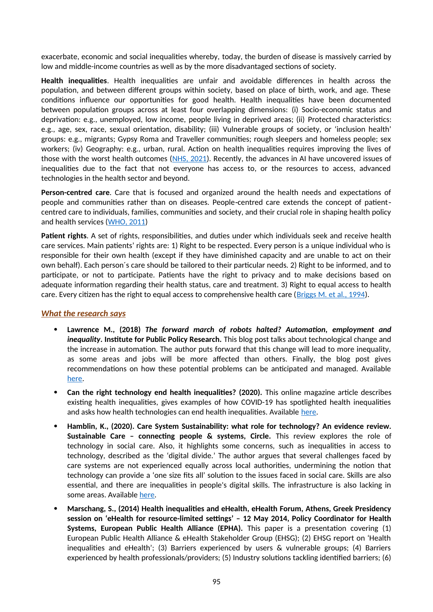exacerbate, economic and social inequalities whereby, today, the burden of disease is massively carried by low and middle-income countries as well as by the more disadvantaged sections of society.

**Health inequalities**. Health inequalities are unfair and avoidable differences in health across the population, and between different groups within society, based on place of birth, work, and age. These conditions influence our opportunities for good health. Health inequalities have been documented between population groups across at least four overlapping dimensions: (i) Socio-economic status and deprivation: e.g., unemployed, low income, people living in deprived areas; (ii) Protected characteristics: e.g., age, sex, race, sexual orientation, disability; (iii) Vulnerable groups of society, or 'inclusion health' groups: e.g., migrants; Gypsy Roma and Traveller communities; rough sleepers and homeless people; sex workers; (iv) Geography: e.g., urban, rural. Action on health inequalities requires improving the lives of those with the worst health outcomes ([NHS, 2021](https://www.england.nhs.uk/ltphimenu/definitions-for-health-inequalities/)). Recently, the advances in AI have uncovered issues of inequalities due to the fact that not everyone has access to, or the resources to access, advanced technologies in the health sector and beyond.

**Person-centred care**. Care that is focused and organized around the health needs and expectations of people and communities rather than on diseases. People-centred care extends the concept of patientcentred care to individuals, families, communities and society, and their crucial role in shaping health policy and health services [\(WHO, 2011\)](https://www.who.int/news-room/fact-sheets/detail/patient-safety)

**Patient rights**. A set of rights, responsibilities, and duties under which individuals seek and receive health care services. Main patients' rights are: 1) Right to be respected. Every person is a unique individual who is responsible for their own health (except if they have diminished capacity and are unable to act on their own behalf). Each person´s care should be tailored to their particular needs. 2) Right to be informed, and to participate, or not to participate. Patients have the right to privacy and to make decisions based on adequate information regarding their health status, care and treatment. 3) Right to equal access to health care. Every citizen has the right to equal access to comprehensive health care ([Briggs M. et al., 1994](https://pallipedia.org/patients-rights/)).

### *What the research says*

- **Lawrence M., (2018)** *The forward march of robots halted? Automation, employment and inequality***. Institute for Public Policy Research.** This blog post talks about technological change and the increase in automation. The author puts forward that this change will lead to more inequality, as some areas and jobs will be more affected than others. Finally, the blog post gives recommendations on how these potential problems can be anticipated and managed. Available [here](https://www.ippr.org/blog/the-forward-march-of-robots-halted-automation-employment-and-inequality).
- **Can the right technology end health inequalities? (2020).** This online magazine article describes existing health inequalities, gives examples of how COVID-19 has spotlighted health inequalities and asks how health technologies can end health inequalities. Available [here.](https://www.openaccessgovernment.org/end-health-inequalities/98761/)
- **Hamblin, K., (2020). Care System Sustainability: what role for technology? An evidence review. Sustainable Care – connecting people & systems, Circle.** This review explores the role of technology in social care. Also, it highlights some concerns, such as inequalities in access to technology, described as the 'digital divide.' The author argues that several challenges faced by care systems are not experienced equally across local authorities, undermining the notion that technology can provide a 'one size fits all' solution to the issues faced in social care. Skills are also essential, and there are inequalities in people's digital skills. The infrastructure is also lacking in some areas. Available [here](http://circle.group.shef.ac.uk/2020/10/28/scpaper-technologyevidencereview/).
- **Marschang, S., (2014) Health inequalities and eHealth, eHealth Forum, Athens, Greek Presidency session on 'eHealth for resource-limited settings' – 12 May 2014, Policy Coordinator for Health Systems, European Public Health Alliance (EPHA).** This paper is a presentation covering (1) European Public Health Alliance & eHealth Stakeholder Group (EHSG); (2) EHSG report on 'Health inequalities and eHealth'; (3) Barriers experienced by users & vulnerable groups; (4) Barriers experienced by health professionals/providers; (5) Industry solutions tackling identified barriers; (6)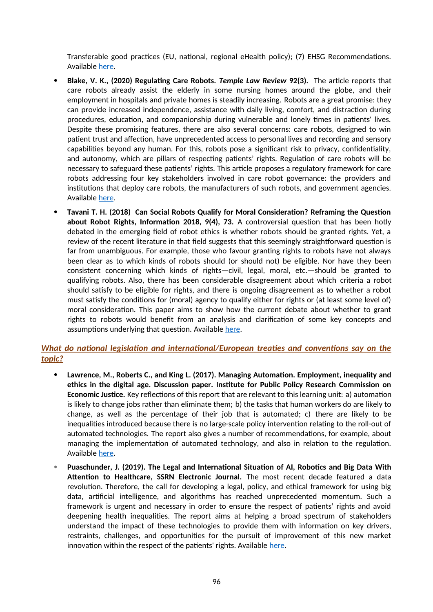Transferable good practices (EU, national, regional eHealth policy); (7) EHSG Recommendations. Available [here](http://www.ehealth2014.org/wp-content/uploads/2014/06/Pres_Marschang.pdf).

- **Blake, V. K., (2020) Regulating Care Robots.** *Temple Law Review* **92(3).** The article reports that care robots already assist the elderly in some nursing homes around the globe, and their employment in hospitals and private homes is steadily increasing. Robots are a great promise: they can provide increased independence, assistance with daily living, comfort, and distraction during procedures, education, and companionship during vulnerable and lonely times in patients' lives. Despite these promising features, there are also several concerns: care robots, designed to win patient trust and affection, have unprecedented access to personal lives and recording and sensory capabilities beyond any human. For this, robots pose a significant risk to privacy, confidentiality, and autonomy, which are pillars of respecting patients' rights. Regulation of care robots will be necessary to safeguard these patients' rights. This article proposes a regulatory framework for care robots addressing four key stakeholders involved in care robot governance: the providers and institutions that deploy care robots, the manufacturers of such robots, and government agencies. Available [here](https://heinonline.org/HOL/Page?collection=journals&handle=hein.journals/temple92&id=580&men_tab=srchresults).
- **Tavani T. H. (2018) Can Social Robots Qualify for Moral Consideration? Reframing the Question about Robot Rights, Information 2018, 9(4), 73.** A controversial question that has been hotly debated in the emerging field of robot ethics is whether robots should be granted rights. Yet, a review of the recent literature in that field suggests that this seemingly straightforward question is far from unambiguous. For example, those who favour granting rights to robots have not always been clear as to which kinds of robots should (or should not) be eligible. Nor have they been consistent concerning which kinds of rights—civil, legal, moral, etc.—should be granted to qualifying robots. Also, there has been considerable disagreement about which criteria a robot should satisfy to be eligible for rights, and there is ongoing disagreement as to whether a robot must satisfy the conditions for (moral) agency to qualify either for rights or (at least some level of) moral consideration. This paper aims to show how the current debate about whether to grant rights to robots would benefit from an analysis and clarification of some key concepts and assumptions underlying that question. Available [here](https://www.researchgate.net/publication/324093497_Can_Social_Robots_Qualify_for_Moral_Consideration_Reframing_the_Question_about_Robot_Rights).

# *What do national legislation and international/European treaties and conventions say on the topic?*

- **Lawrence, M., Roberts C., and King L. (2017). Managing Automation. Employment, inequality and ethics in the digital age. Discussion paper. Institute for Public Policy Research Commission on Economic Justice.** Key reflections of this report that are relevant to this learning unit: a) automation is likely to change jobs rather than eliminate them; b) the tasks that human workers do are likely to change, as well as the percentage of their job that is automated; c) there are likely to be inequalities introduced because there is no large-scale policy intervention relating to the roll-out of automated technologies. The report also gives a number of recommendations, for example, about managing the implementation of automated technology, and also in relation to the regulation. Available [here](https://www.ippr.org/publications/managing-automation).
- **Puaschunder, J. (2019). The Legal and International Situation of AI, Robotics and Big Data With Attention to Healthcare, SSRN Electronic Journal.** The most recent decade featured a data revolution. Therefore, the call for developing a legal, policy, and ethical framework for using big data, artificial intelligence, and algorithms has reached unprecedented momentum. Such a framework is urgent and necessary in order to ensure the respect of patients' rights and avoid deepening health inequalities. The report aims at helping a broad spectrum of stakeholders understand the impact of these technologies to provide them with information on key drivers, restraints, challenges, and opportunities for the pursuit of improvement of this new market innovation within the respect of the patients' rights. Available [here](https://www.researchgate.net/publication/336951897_The_Legal_and_International_Situation_of_AI_Robotics_and_Big_Data_With_Attention_to_Healthcare).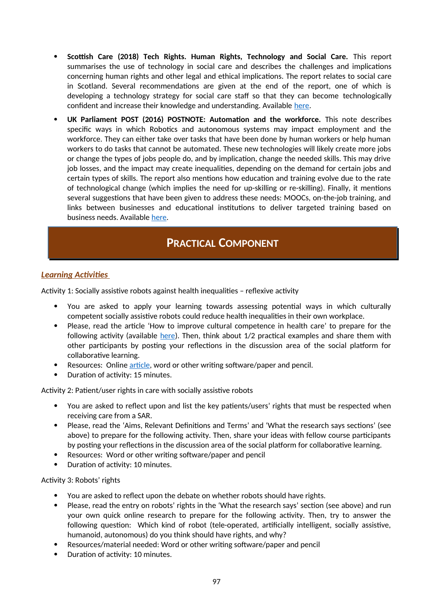- **Scottish Care (2018) Tech Rights. Human Rights, Technology and Social Care.** This report summarises the use of technology in social care and describes the challenges and implications concerning human rights and other legal and ethical implications. The report relates to social care in Scotland. Several recommendations are given at the end of the report, one of which is developing a technology strategy for social care staff so that they can become technologically confident and increase their knowledge and understanding. Available [here](https://scottishcare.org/wp-content/uploads/2019/11/TechRights-Human-Rights-Technology-and-Social-Care.pdf).
- **UK Parliament POST (2016) POSTNOTE: Automation and the workforce.** This note describes specific ways in which Robotics and autonomous systems may impact employment and the workforce. They can either take over tasks that have been done by human workers or help human workers to do tasks that cannot be automated. These new technologies will likely create more jobs or change the types of jobs people do, and by implication, change the needed skills. This may drive job losses, and the impact may create inequalities, depending on the demand for certain jobs and certain types of skills. The report also mentions how education and training evolve due to the rate of technological change (which implies the need for up-skilling or re-skilling). Finally, it mentions several suggestions that have been given to address these needs: MOOCs, on-the-job training, and links between businesses and educational institutions to deliver targeted training based on business needs. Available [here](https://post.parliament.uk/research-briefings/post-pn-0534/).

# **PRACTICAL COMPONENT**

# *Learning Activities*

Activity 1: Socially assistive robots against health inequalities – reflexive activity

- You are asked to apply your learning towards assessing potential ways in which culturally competent socially assistive robots could reduce health inequalities in their own workplace.
- Please, read the article 'How to improve cultural competence in health care' to prepare for the following activity (available [here\)](https://publichealth.tulane.edu/blog/cultural-competence-in-health-care/). Then, think about 1/2 practical examples and share them with other participants by posting your reflections in the discussion area of the social platform for collaborative learning.
- Resources: Online [article](https://publichealth.tulane.edu/blog/cultural-competence-in-health-care/), word or other writing software/paper and pencil.
- Duration of activity: 15 minutes.

Activity 2: Patient/user rights in care with socially assistive robots

- You are asked to reflect upon and list the key patients/users' rights that must be respected when receiving care from a SAR.
- Please, read the 'Aims, Relevant Definitions and Terms' and 'What the research says sections' (see above) to prepare for the following activity. Then, share your ideas with fellow course participants by posting your reflections in the discussion area of the social platform for collaborative learning.
- Resources: Word or other writing software/paper and pencil
- Duration of activity: 10 minutes.

#### Activity 3: Robots' rights

- You are asked to reflect upon the debate on whether robots should have rights.
- Please, read the entry on robots' rights in the 'What the research says' section (see above) and run your own quick online research to prepare for the following activity. Then, try to answer the following question: Which kind of robot (tele-operated, artificially intelligent, socially assistive, humanoid, autonomous) do you think should have rights, and why?
- Resources/material needed: Word or other writing software/paper and pencil
- Duration of activity: 10 minutes.